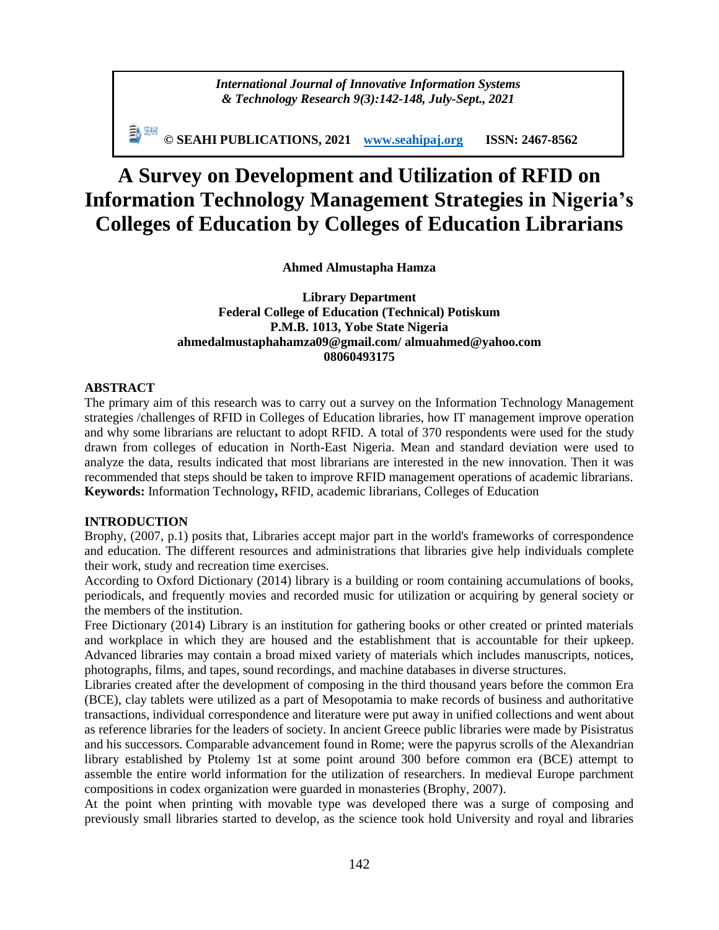*International Journal of Innovative Information Systems & Technology Research 9(3):142-148, July-Sept., 2021*

**© SEAHI PUBLICATIONS, 2021 [www.seahipaj.org](http://www.seahipaj.org/) ISSN: 2467-8562**

# **A Survey on Development and Utilization of RFID on Information Technology Management Strategies in Nigeria's Colleges of Education by Colleges of Education Librarians**

**Ahmed Almustapha Hamza**

**Library Department Federal College of Education (Technical) Potiskum P.M.B. 1013, Yobe State Nigeria [ahmedalmustaphahamza09@gmail.com/](mailto:ahmedalmustaphahamza09@gmail.com/) [almuahmed@yahoo.com](mailto:almuahmed@yahoo.com) 08060493175**

### **ABSTRACT**

The primary aim of this research was to carry out a survey on the Information Technology Management strategies /challenges of RFID in Colleges of Education libraries, how IT management improve operation and why some librarians are reluctant to adopt RFID. A total of 370 respondents were used for the study drawn from colleges of education in North-East Nigeria. Mean and standard deviation were used to analyze the data, results indicated that most librarians are interested in the new innovation. Then it was recommended that steps should be taken to improve RFID management operations of academic librarians. **Keywords:** Information Technology**,** RFID, academic librarians, Colleges of Education

#### **INTRODUCTION**

Brophy, (2007, p.1) posits that, Libraries accept major part in the world's frameworks of correspondence and education. The different resources and administrations that libraries give help individuals complete their work, study and recreation time exercises.

According to Oxford Dictionary (2014) library is a building or room containing accumulations of books, periodicals, and frequently movies and recorded music for utilization or acquiring by general society or the members of the institution.

Free Dictionary (2014) Library is an institution for gathering books or other created or printed materials and workplace in which they are housed and the establishment that is accountable for their upkeep. Advanced libraries may contain a broad mixed variety of materials which includes manuscripts, notices, photographs, films, and tapes, sound recordings, and machine databases in diverse structures.

Libraries created after the development of composing in the third thousand years before the common Era (BCE), clay tablets were utilized as a part of Mesopotamia to make records of business and authoritative transactions, individual correspondence and literature were put away in unified collections and went about as reference libraries for the leaders of society. In ancient Greece public libraries were made by Pisistratus and his successors. Comparable advancement found in Rome; were the papyrus scrolls of the Alexandrian library established by Ptolemy 1st at some point around 300 before common era (BCE) attempt to assemble the entire world information for the utilization of researchers. In medieval Europe parchment compositions in codex organization were guarded in monasteries (Brophy, 2007).

At the point when printing with movable type was developed there was a surge of composing and previously small libraries started to develop, as the science took hold University and royal and libraries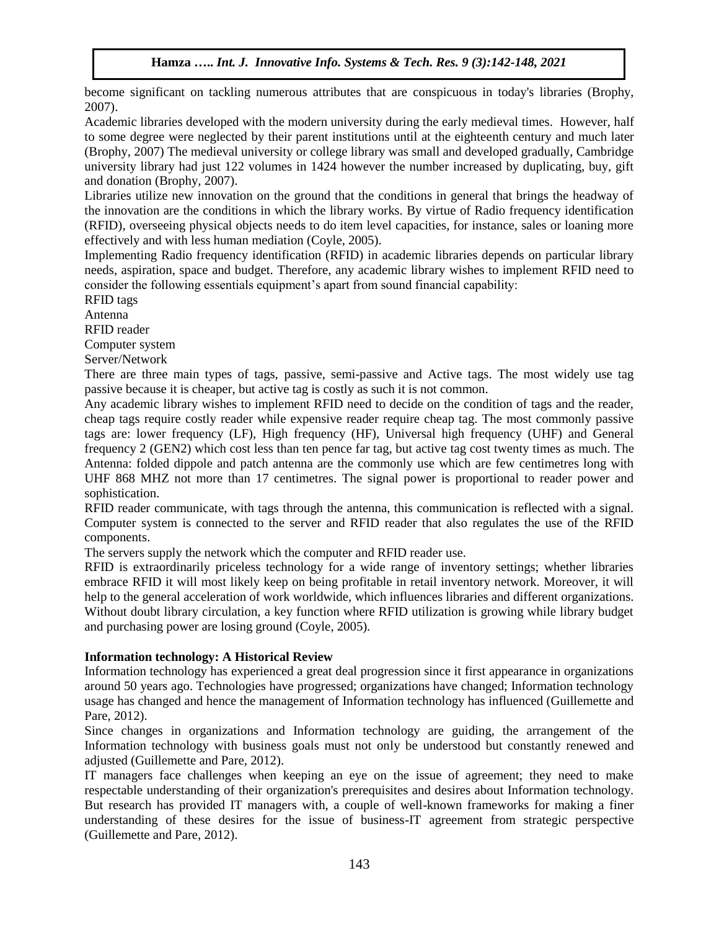become significant on tackling numerous attributes that are conspicuous in today's libraries (Brophy, 2007).

Academic libraries developed with the modern university during the early medieval times. However, half to some degree were neglected by their parent institutions until at the eighteenth century and much later (Brophy, 2007) The medieval university or college library was small and developed gradually, Cambridge university library had just 122 volumes in 1424 however the number increased by duplicating, buy, gift and donation (Brophy, 2007).

Libraries utilize new innovation on the ground that the conditions in general that brings the headway of the innovation are the conditions in which the library works. By virtue of Radio frequency identification (RFID), overseeing physical objects needs to do item level capacities, for instance, sales or loaning more effectively and with less human mediation (Coyle, 2005).

Implementing Radio frequency identification (RFID) in academic libraries depends on particular library needs, aspiration, space and budget. Therefore, any academic library wishes to implement RFID need to consider the following essentials equipment's apart from sound financial capability:

RFID tags

Antenna

RFID reader

Computer system

Server/Network

There are three main types of tags, passive, semi-passive and Active tags. The most widely use tag passive because it is cheaper, but active tag is costly as such it is not common.

Any academic library wishes to implement RFID need to decide on the condition of tags and the reader, cheap tags require costly reader while expensive reader require cheap tag. The most commonly passive tags are: lower frequency (LF), High frequency (HF), Universal high frequency (UHF) and General frequency 2 (GEN2) which cost less than ten pence far tag, but active tag cost twenty times as much. The Antenna: folded dippole and patch antenna are the commonly use which are few centimetres long with UHF 868 MHZ not more than 17 centimetres. The signal power is proportional to reader power and sophistication.

RFID reader communicate, with tags through the antenna, this communication is reflected with a signal. Computer system is connected to the server and RFID reader that also regulates the use of the RFID components.

The servers supply the network which the computer and RFID reader use.

RFID is extraordinarily priceless technology for a wide range of inventory settings; whether libraries embrace RFID it will most likely keep on being profitable in retail inventory network. Moreover, it will help to the general acceleration of work worldwide, which influences libraries and different organizations. Without doubt library circulation, a key function where RFID utilization is growing while library budget and purchasing power are losing ground (Coyle, 2005).

## **Information technology: A Historical Review**

Information technology has experienced a great deal progression since it first appearance in organizations around 50 years ago. Technologies have progressed; organizations have changed; Information technology usage has changed and hence the management of Information technology has influenced (Guillemette and Pare, 2012).

Since changes in organizations and Information technology are guiding, the arrangement of the Information technology with business goals must not only be understood but constantly renewed and adjusted (Guillemette and Pare, 2012).

IT managers face challenges when keeping an eye on the issue of agreement; they need to make respectable understanding of their organization's prerequisites and desires about Information technology. But research has provided IT managers with, a couple of well-known frameworks for making a finer understanding of these desires for the issue of business-IT agreement from strategic perspective (Guillemette and Pare, 2012).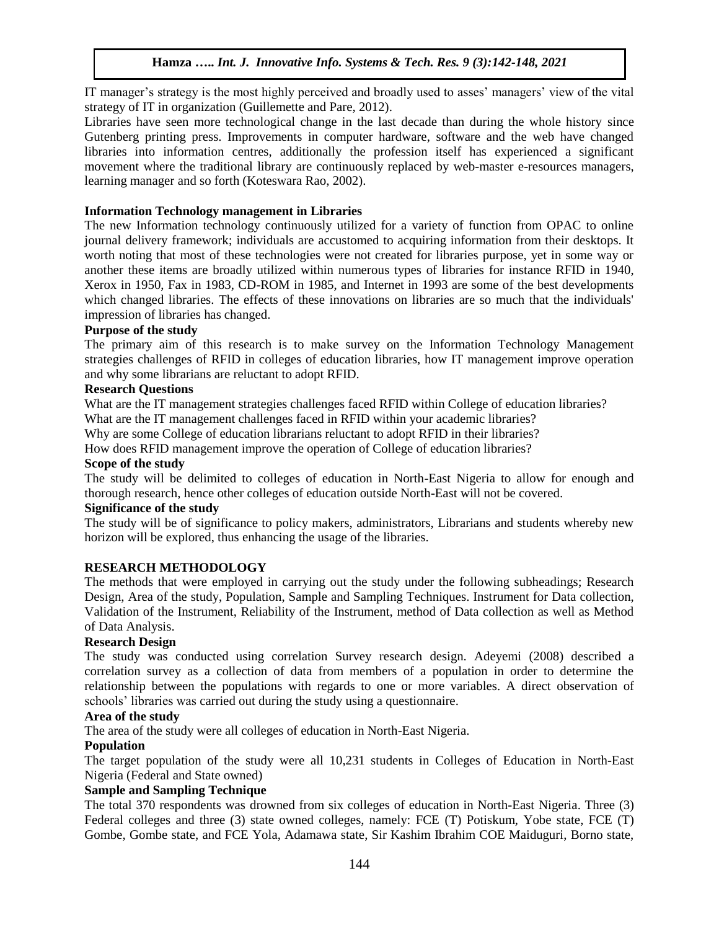IT manager's strategy is the most highly perceived and broadly used to asses' managers' view of the vital strategy of IT in organization (Guillemette and Pare, 2012).

Libraries have seen more technological change in the last decade than during the whole history since Gutenberg printing press. Improvements in computer hardware, software and the web have changed libraries into information centres, additionally the profession itself has experienced a significant movement where the traditional library are continuously replaced by web-master e-resources managers, learning manager and so forth (Koteswara Rao, 2002).

#### **Information Technology management in Libraries**

The new Information technology continuously utilized for a variety of function from OPAC to online journal delivery framework; individuals are accustomed to acquiring information from their desktops. It worth noting that most of these technologies were not created for libraries purpose, yet in some way or another these items are broadly utilized within numerous types of libraries for instance RFID in 1940, Xerox in 1950, Fax in 1983, CD-ROM in 1985, and Internet in 1993 are some of the best developments which changed libraries. The effects of these innovations on libraries are so much that the individuals' impression of libraries has changed.

#### **Purpose of the study**

The primary aim of this research is to make survey on the Information Technology Management strategies challenges of RFID in colleges of education libraries, how IT management improve operation and why some librarians are reluctant to adopt RFID.

#### **Research Questions**

What are the IT management strategies challenges faced RFID within College of education libraries? What are the IT management challenges faced in RFID within your academic libraries?

Why are some College of education librarians reluctant to adopt RFID in their libraries?

How does RFID management improve the operation of College of education libraries?

#### **Scope of the study**

The study will be delimited to colleges of education in North-East Nigeria to allow for enough and thorough research, hence other colleges of education outside North-East will not be covered.

#### **Significance of the study**

The study will be of significance to policy makers, administrators, Librarians and students whereby new horizon will be explored, thus enhancing the usage of the libraries.

#### **RESEARCH METHODOLOGY**

The methods that were employed in carrying out the study under the following subheadings; Research Design, Area of the study, Population, Sample and Sampling Techniques. Instrument for Data collection, Validation of the Instrument, Reliability of the Instrument, method of Data collection as well as Method of Data Analysis.

#### **Research Design**

The study was conducted using correlation Survey research design. Adeyemi (2008) described a correlation survey as a collection of data from members of a population in order to determine the relationship between the populations with regards to one or more variables. A direct observation of schools' libraries was carried out during the study using a questionnaire.

#### **Area of the study**

The area of the study were all colleges of education in North-East Nigeria.

#### **Population**

The target population of the study were all 10,231 students in Colleges of Education in North-East Nigeria (Federal and State owned)

#### **Sample and Sampling Technique**

The total 370 respondents was drowned from six colleges of education in North-East Nigeria. Three (3) Federal colleges and three (3) state owned colleges, namely: FCE (T) Potiskum, Yobe state, FCE (T) Gombe, Gombe state, and FCE Yola, Adamawa state, Sir Kashim Ibrahim COE Maiduguri, Borno state,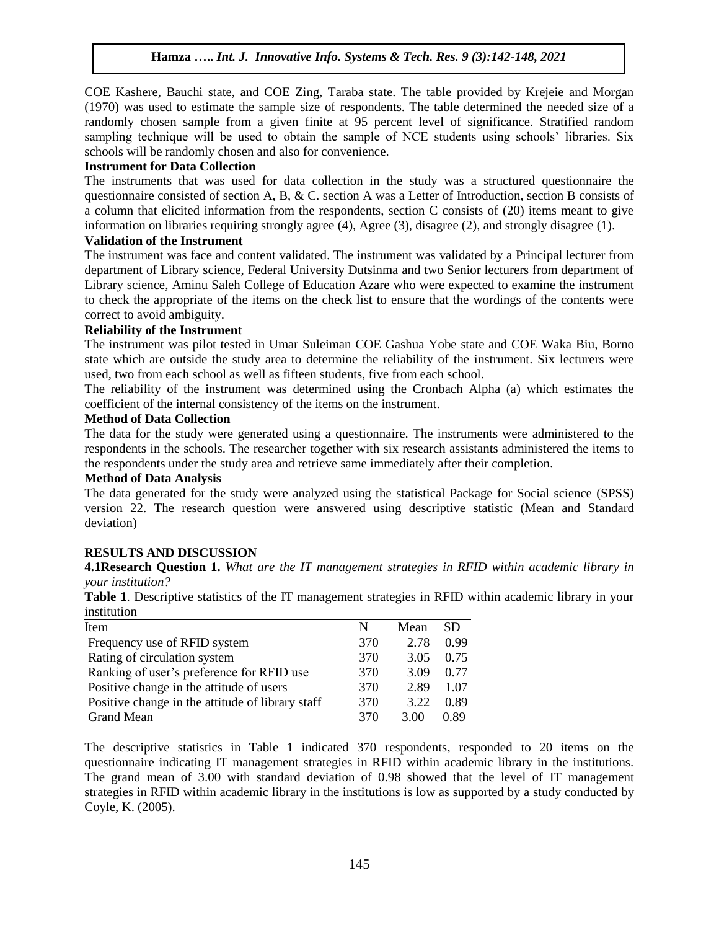COE Kashere, Bauchi state, and COE Zing, Taraba state. The table provided by Krejeie and Morgan (1970) was used to estimate the sample size of respondents. The table determined the needed size of a randomly chosen sample from a given finite at 95 percent level of significance. Stratified random sampling technique will be used to obtain the sample of NCE students using schools' libraries. Six schools will be randomly chosen and also for convenience.

#### **Instrument for Data Collection**

The instruments that was used for data collection in the study was a structured questionnaire the questionnaire consisted of section A, B, & C. section A was a Letter of Introduction, section B consists of a column that elicited information from the respondents, section C consists of (20) items meant to give information on libraries requiring strongly agree (4), Agree (3), disagree (2), and strongly disagree (1).

#### **Validation of the Instrument**

The instrument was face and content validated. The instrument was validated by a Principal lecturer from department of Library science, Federal University Dutsinma and two Senior lecturers from department of Library science, Aminu Saleh College of Education Azare who were expected to examine the instrument to check the appropriate of the items on the check list to ensure that the wordings of the contents were correct to avoid ambiguity.

#### **Reliability of the Instrument**

The instrument was pilot tested in Umar Suleiman COE Gashua Yobe state and COE Waka Biu, Borno state which are outside the study area to determine the reliability of the instrument. Six lecturers were used, two from each school as well as fifteen students, five from each school.

The reliability of the instrument was determined using the Cronbach Alpha (a) which estimates the coefficient of the internal consistency of the items on the instrument.

#### **Method of Data Collection**

The data for the study were generated using a questionnaire. The instruments were administered to the respondents in the schools. The researcher together with six research assistants administered the items to the respondents under the study area and retrieve same immediately after their completion.

#### **Method of Data Analysis**

The data generated for the study were analyzed using the statistical Package for Social science (SPSS) version 22. The research question were answered using descriptive statistic (Mean and Standard deviation)

#### **RESULTS AND DISCUSSION**

**4.1Research Question 1.** *What are the IT management strategies in RFID within academic library in your institution?*

**Table 1**. Descriptive statistics of the IT management strategies in RFID within academic library in your institution

| Item                                             | N   | Mean | <b>SD</b> |
|--------------------------------------------------|-----|------|-----------|
| Frequency use of RFID system                     | 370 | 2.78 | 0.99      |
| Rating of circulation system                     | 370 | 3.05 | 0.75      |
| Ranking of user's preference for RFID use        | 370 | 3.09 | 0.77      |
| Positive change in the attitude of users         | 370 | 2.89 | 1.07      |
| Positive change in the attitude of library staff | 370 | 3.22 | 0.89      |
| Grand Mean                                       | 370 | 3.00 | 0.89      |

The descriptive statistics in Table 1 indicated 370 respondents, responded to 20 items on the questionnaire indicating IT management strategies in RFID within academic library in the institutions. The grand mean of 3.00 with standard deviation of 0.98 showed that the level of IT management strategies in RFID within academic library in the institutions is low as supported by a study conducted by Coyle, K. (2005).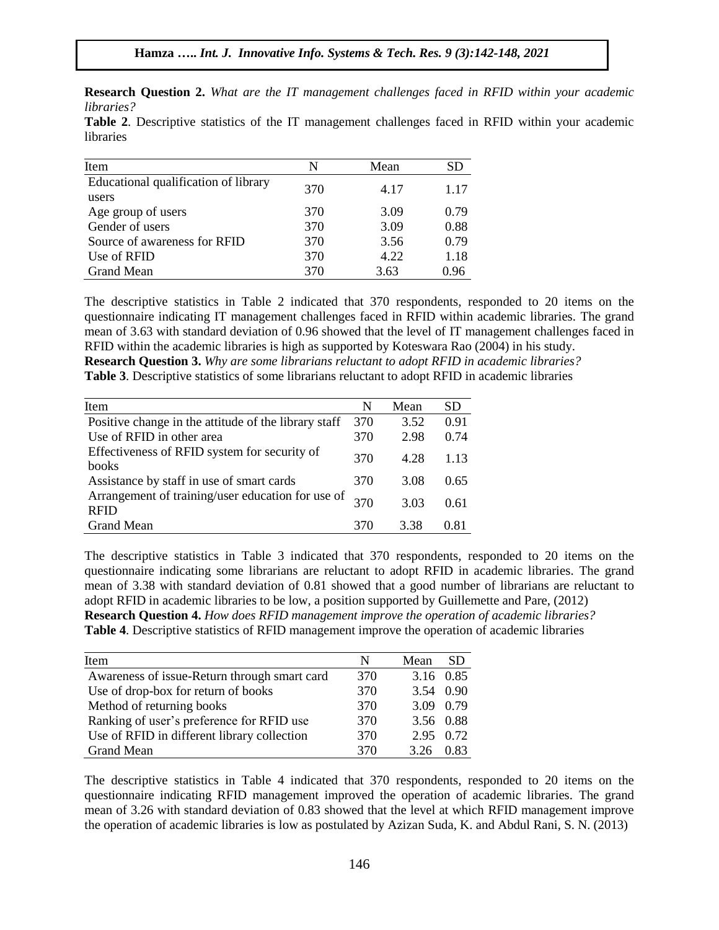**Research Question 2.** *What are the IT management challenges faced in RFID within your academic libraries?*

**Table 2**. Descriptive statistics of the IT management challenges faced in RFID within your academic libraries

| Item                                 | N   | Mean |      |
|--------------------------------------|-----|------|------|
| Educational qualification of library | 370 | 4.17 | 1.17 |
| users                                |     |      |      |
| Age group of users                   | 370 | 3.09 | 0.79 |
| Gender of users                      | 370 | 3.09 | 0.88 |
| Source of awareness for RFID         | 370 | 3.56 | 0.79 |
| Use of RFID                          | 370 | 4.22 | 1.18 |
| <b>Grand Mean</b>                    | 370 | 3.63 | 0.96 |

The descriptive statistics in Table 2 indicated that 370 respondents, responded to 20 items on the questionnaire indicating IT management challenges faced in RFID within academic libraries. The grand mean of 3.63 with standard deviation of 0.96 showed that the level of IT management challenges faced in RFID within the academic libraries is high as supported by Koteswara Rao (2004) in his study. **Research Question 3.** *Why are some librarians reluctant to adopt RFID in academic libraries?* **Table 3**. Descriptive statistics of some librarians reluctant to adopt RFID in academic libraries

| Item                                                             | N   | Mean | <b>SD</b> |
|------------------------------------------------------------------|-----|------|-----------|
| Positive change in the attitude of the library staff             | 370 | 3.52 | 0.91      |
| Use of RFID in other area                                        | 370 | 2.98 | 0.74      |
| Effectiveness of RFID system for security of<br>books            | 370 | 4.28 | 1.13      |
| Assistance by staff in use of smart cards                        | 370 | 3.08 | 0.65      |
| Arrangement of training/user education for use of<br><b>RFID</b> | 370 | 3.03 | 0.61      |
| <b>Grand Mean</b>                                                | 370 | 3.38 | O 81      |

The descriptive statistics in Table 3 indicated that 370 respondents, responded to 20 items on the questionnaire indicating some librarians are reluctant to adopt RFID in academic libraries. The grand mean of 3.38 with standard deviation of 0.81 showed that a good number of librarians are reluctant to adopt RFID in academic libraries to be low, a position supported by Guillemette and Pare, (2012) **Research Question 4.** *How does RFID management improve the operation of academic libraries?* **Table 4**. Descriptive statistics of RFID management improve the operation of academic libraries

| Item                                         | N   | Mean      | <b>SD</b> |
|----------------------------------------------|-----|-----------|-----------|
|                                              |     |           |           |
| Awareness of issue-Return through smart card | 370 | 3.16 0.85 |           |
| Use of drop-box for return of books          | 370 |           | 3.54 0.90 |
| Method of returning books                    | 370 |           | 3.09 0.79 |
| Ranking of user's preference for RFID use    | 370 |           | 3.56 0.88 |
| Use of RFID in different library collection  | 370 | 2.95 0.72 |           |
| <b>Grand Mean</b>                            | 370 | 3.26      | 0.83      |

The descriptive statistics in Table 4 indicated that 370 respondents, responded to 20 items on the questionnaire indicating RFID management improved the operation of academic libraries. The grand mean of 3.26 with standard deviation of 0.83 showed that the level at which RFID management improve the operation of academic libraries is low as postulated by Azizan Suda, K. and Abdul Rani, S. N. (2013)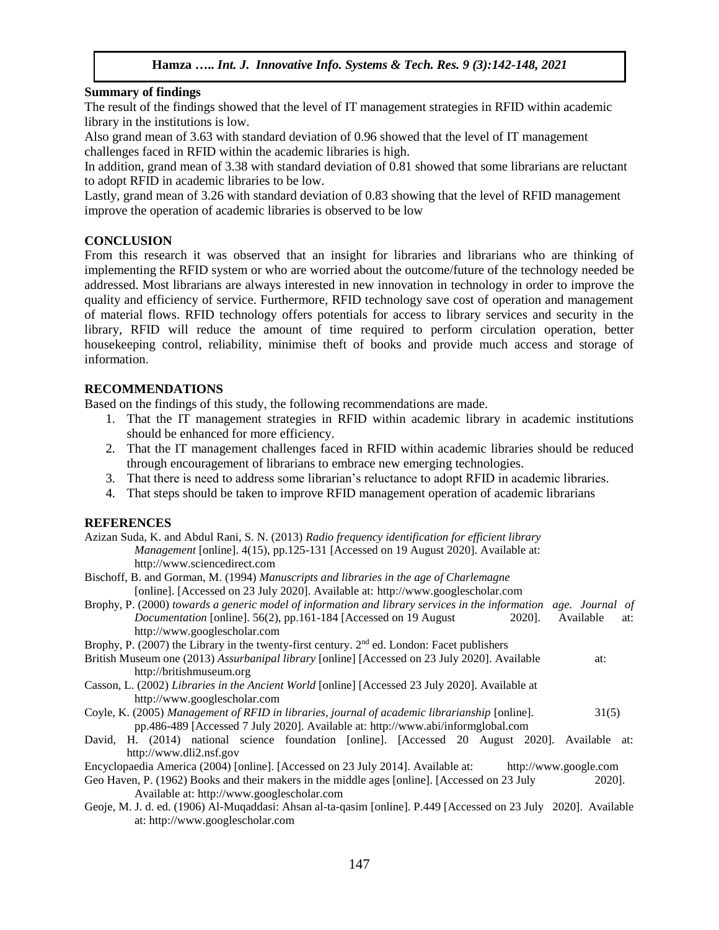## **Summary of findings**

The result of the findings showed that the level of IT management strategies in RFID within academic library in the institutions is low.

Also grand mean of 3.63 with standard deviation of 0.96 showed that the level of IT management challenges faced in RFID within the academic libraries is high.

In addition, grand mean of 3.38 with standard deviation of 0.81 showed that some librarians are reluctant to adopt RFID in academic libraries to be low.

Lastly, grand mean of 3.26 with standard deviation of 0.83 showing that the level of RFID management improve the operation of academic libraries is observed to be low

## **CONCLUSION**

From this research it was observed that an insight for libraries and librarians who are thinking of implementing the RFID system or who are worried about the outcome/future of the technology needed be addressed. Most librarians are always interested in new innovation in technology in order to improve the quality and efficiency of service. Furthermore, RFID technology save cost of operation and management of material flows. RFID technology offers potentials for access to library services and security in the library, RFID will reduce the amount of time required to perform circulation operation, better housekeeping control, reliability, minimise theft of books and provide much access and storage of information.

## **RECOMMENDATIONS**

Based on the findings of this study, the following recommendations are made.

- 1. That the IT management strategies in RFID within academic library in academic institutions should be enhanced for more efficiency.
- 2. That the IT management challenges faced in RFID within academic libraries should be reduced through encouragement of librarians to embrace new emerging technologies.
- 3. That there is need to address some librarian's reluctance to adopt RFID in academic libraries.
- 4. That steps should be taken to improve RFID management operation of academic librarians

## **REFERENCES**

| Azizan Suda, K. and Abdul Rani, S. N. (2013) Radio frequency identification for efficient library                |
|------------------------------------------------------------------------------------------------------------------|
| <i>Management</i> [online]. 4(15), pp.125-131 [Accessed on 19 August 2020]. Available at:                        |
| http://www.sciencedirect.com                                                                                     |
| Bischoff, B. and Gorman, M. (1994) Manuscripts and libraries in the age of Charlemagne                           |
| [online]. [Accessed on 23 July 2020]. Available at: http://www.googlescholar.com                                 |
| Brophy, P. (2000) towards a generic model of information and library services in the information age. Journal of |
| Documentation [online]. 56(2), pp.161-184 [Accessed on 19 August]<br>Available<br>2020].<br>at:                  |
| http://www.googlescholar.com                                                                                     |
| Brophy, P. (2007) the Library in the twenty-first century. $2nd$ ed. London: Facet publishers                    |
| British Museum one (2013) Assurbanipal library [online] [Accessed on 23 July 2020]. Available<br>at:             |
| http://britishmuseum.org                                                                                         |
| Casson, L. (2002) Libraries in the Ancient World [online] [Accessed 23 July 2020]. Available at                  |
| http://www.googlescholar.com                                                                                     |
| Coyle, K. (2005) Management of RFID in libraries, journal of academic librarianship [online].<br>31(5)           |
| pp.486-489 [Accessed 7 July 2020]. Available at: http://www.abi/informglobal.com                                 |
| David, H. (2014) national science foundation [online]. [Accessed 20 August 2020]. Available at:                  |
| http://www.dli2.nsf.gov                                                                                          |
| Encyclopaedia America (2004) [online]. [Accessed on 23 July 2014]. Available at: http://www.google.com           |
| Geo Haven, P. (1962) Books and their makers in the middle ages [online]. [Accessed on 23 July<br>2020].          |
| Available at: http://www.googlescholar.com                                                                       |

Geoje, M. J. d. ed. (1906) Al-Muqaddasi: Ahsan al-ta-qasim [online]. P.449 [Accessed on 23 July 2020]. Available at: [http://www.googlescholar.com](http://www.googlescholar.com/)